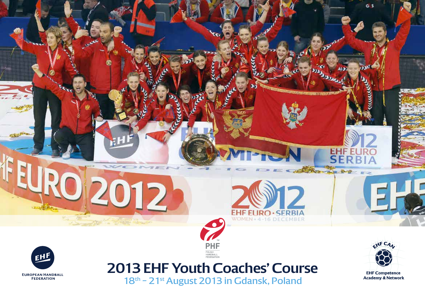



**2013 EHF Youth Coaches' Course** 18<sup>th –</sup> 21<sup>st</sup> August 2013 in Gdansk, Poland

POLISH<br>HANDBALL<br>FEDERATIOI

2012



EHF EU<br>SER B

 $2 - 10 - 10$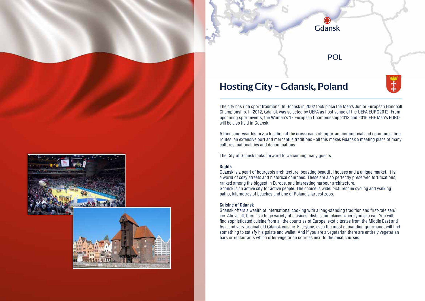## **Hosting City – Gdansk, Poland**

The city has rich sport traditions. In Gdansk in 2002 took place the Men's Junior European Handball Championship. In 2012, Gdansk was selected by UEFA as host venue of the UEFA EURO2012. From upcoming sport events, the Women's 17 European Championship 2013 and 2016 EHF Men's EURO will be also held in Gdansk.

Gdansk

POL

A thousand-year history, a location at the crossroads of important commercial and communication routes, an extensive port and mercantile traditions - all this makes Gdansk a meeting place of many cultures, nationalities and denominations.

The City of Gdansk looks forward to welcoming many guests.

#### **Sights**

Gdansk is a pearl of bourgeois architecture, boasting beautiful houses and a unique market. It is a world of cozy streets and historical churches. These are also perfectly preserved fortifications, ranked among the biggest in Europe, and interesting harbour architecture. Gdansk is an active city for active people. The choice is wide: picturesque cycling and walking paths, kilometres of beaches and one of Poland's largest zoos.

#### **Cuisine of Gdansk**

Gdansk offers a wealth of international cooking with a long-standing tradition and first-rate sen/ ice. Above all, there is a huge variety of cuisines, dishes and places where you can eat. You will find sophisticated cuisine from all the countries of Europe, exotic tastes from the Middle East and Asia and very original old Gdansk cuisine. Everyone, even the most demanding gourmand, will find something to satisfy his palate and wallet. And if you are a vegetarian there are entirely vegetarian bars or restaurants which offer vegetarian courses next to the meat courses.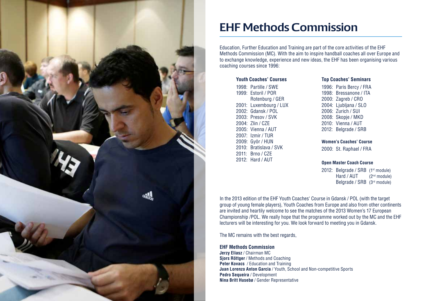

# **EHF Methods Commission**

Education, Further Education and Training are part of the core activities of the EHF Methods Commission (MC). With the aim to inspire handball coaches all over Europe and to exchange knowledge, experience and new ideas, the EHF has been organising various coaching courses since 1996:

#### **Youth Coaches' Courses**

1998: Partille / SWE 1999: Estoril / POR Rotenburg / GER 2001: Luxembourg / LUX 2002: Gdansk / POL 2003: Presov / SVK 2004: Zlin / CZE 2005: Vienna / AUT 2007: Izmir / TUR 2009: Györ / HUN 2010: Bratislava / SVK 2011: Brno / CZE 2012: Hard / AUT

#### **Top Coaches' Seminars**

1996: Paris Bercy / FRA 1998: Bressanone / ITA 2000: Zagreb / CRO 2004: Ljubljana / SLO 2006: Zurich / SUI 2008: Skopje / MKD 2010: Vienna / AUT 2012: Belgrade / SRB

#### **Women's Coaches' Course**

2000: St. Raphael / FRA

#### **Open Master Coach Course**

2012: Belgrade / SRB (1st module) Hard / AUT (2<sup>nd</sup> module) Belgrade / SRB (3rd module)

In the 2013 edition of the EHF Youth Coaches' Course in Gdansk / POL (with the target group of young female players), Youth Coaches from Europe and also from other continents are invited and heartily welcome to see the matches of the 2013 Women's 17 European Championship /POL. We really hope that the programme worked out by the MC and the EHF lecturers will be interesting for you. We look forward to meeting you in Gdansk.

The MC remains with the best regards,

#### **EHF Methods Commission**

**Jerzy Eliasz** / Chairman MC **Sjors Röttger** / Methods and Coaching **Peter Kovacs** / Education and Training **Juan Lorenzo Anton Garcia** / Youth, School and Non-competitive Sports **Pedro Sequeira** / Development **Nina Britt Husebø** / Gender Representative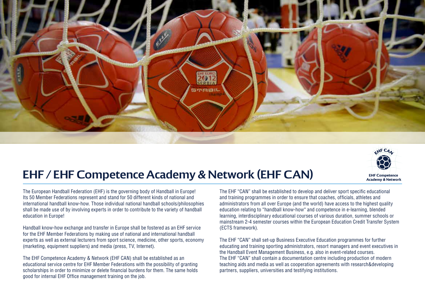

# HF CA **EHF Competence Academy & Network**

# **EHF / EHF Competence Academy & Network (EHF CAN)**

The European Handball Federation (EHF) is the governing body of Handball in Europe! Its 50 Member Federations represent and stand for 50 different kinds of national and international handball know-how. Those individual national handball schools/philosophies shall be made use of by involving experts in order to contribute to the variety of handball education in Europe!

Handball know-how exchange and transfer in Europe shall be fostered as an EHF service for the EHF Member Federations by making use of national and international handball experts as well as external lecturers from sport science, medicine, other sports, economy (marketing, equipment suppliers) and media (press, TV, Internet).

The EHF Competence Academy & Network (EHF CAN) shall be established as an educational service centre for EHF Member Federations with the possibility of granting scholarships in order to minimize or delete financial burdens for them. The same holds good for internal EHF Office management training on the job.

The EHF "CAN" shall be established to develop and deliver sport specific educational and training programmes in order to ensure that coaches, officials, athletes and administrators from all over Europe (and the world) have access to the highest quality education relating to "handball know-how" and competence in e-learning, blended learning, interdisciplinary educational courses of various duration, summer schools or mainstream 2-4 semester courses within the European Education Credit Transfer System (ECTS framework).

The EHF "CAN" shall set-up Business Executive Education programmes for further educating and training sporting administrators, resort managers and event executives in the Handball Event Management Business, e.g. also in event-related courses. The EHF "CAN" shall contain a documentation centre including production of modern teaching aids and media as well as cooperation agreements with research&developing partners, suppliers, universities and testifying institutions.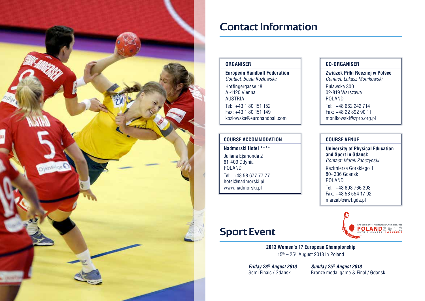

# **Contact Information**

### **Organiser**

**European Handball Federation**  *Contact: Beata Kozlowska* Hoffingergasse 18 A -1120 Vienna AUSTRIA Tel: +43 1 80 151 152 Fax: +43 1 80 151 149 kozlowska@eurohandball.com

### **COURSE Accommodation**

**Nadmorski Hotel \*\*\*\*** Juliana Ejsmonda 2 81-409 Gdynia POLAND Tel: +48 58 677 77 77 hotel@nadmorski.pl www.nadmorski.pl

### **CO-Organiser**

**Zwiazek Piłki Recznej w Polsce** *Contact: Lukasz Monikowski* Pulawska 300 02-819 Warszawa POLAND Tel: +48 662 242 714 Fax: +48 22 892 90 11 monikowski@zprp.org.pl

### **COURSE VENUE**

**University of Physical Education and Sport in Gdansk** *Contact: Marek Zabczynski*  Kazimierza Gorskiego 1 80- 336 Gdansk POLAND Tel: +48 603 766 393 Fax: +48 58 554 17 92 marzab@awf.gda.pl

# **Sport Event**

**2013 Women's 17 European Championship** 15th – 25th August 2013 in Poland

**Friday 23<sup>th</sup> August 2013 Sunday 25<sup>th</sup> August 2013**<br>**Semi Finals / Gdansk Bronze medal game & Fin** 

Bronze medal game & Final / Gdansk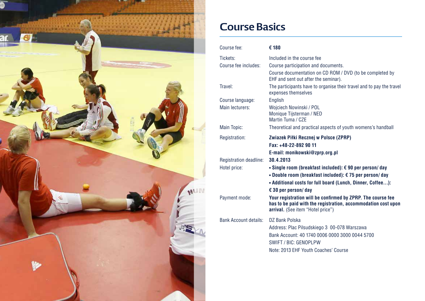

# **Course Basics**

| Course fee:            | € 180                                                                                                                                                                                                            |
|------------------------|------------------------------------------------------------------------------------------------------------------------------------------------------------------------------------------------------------------|
| Tickets:               | Included in the course fee                                                                                                                                                                                       |
| Course fee includes:   | Course participation and documents.                                                                                                                                                                              |
|                        | Course documentation on CD ROM / DVD (to be completed by<br>EHF and sent out after the seminar).                                                                                                                 |
| Travel:                | The participants have to organise their travel and to pay the travel<br>expenses themselves                                                                                                                      |
| Course language:       | English                                                                                                                                                                                                          |
| Main lecturers:        | Wojciech Nowinski / POL<br>Monique Tijsterman / NED<br>Martin Tuma / CZE                                                                                                                                         |
| Main Topic:            | Theoretical and practical aspects of youth womens's handball                                                                                                                                                     |
| Registration:          | Zwiazek Piłki Recznej w Polsce (ZPRP)<br>Fax: +48-22-892 90 11                                                                                                                                                   |
|                        | E-mail: monikowski@zprp.org.pl                                                                                                                                                                                   |
| Registration deadline: | 30.4.2013                                                                                                                                                                                                        |
| Hotel price:           | • Single room (breakfast included): € 90 per person/day<br>• Double room (breakfast included): $\epsilon$ 75 per person/day<br>• Additional costs for full board (Lunch, Dinner, Coffee):<br>€ 30 per person/day |
| Payment mode:          | Your registration will be confirmed by ZPRP. The course fee<br>has to be paid with the registration, accommodation cost upon<br>arrival. (See item "Hotel price")                                                |
| Bank Account details:  | DZ Bank Polska<br>Address: Plac Pilsudskiego 3 00-078 Warszawa<br>Bank Account: 40 1740 0006 0000 3000 0044 5700<br><b>SWIFT / BIC: GENOPLPW</b><br>Note: 2013 EHF Youth Coaches' Course                         |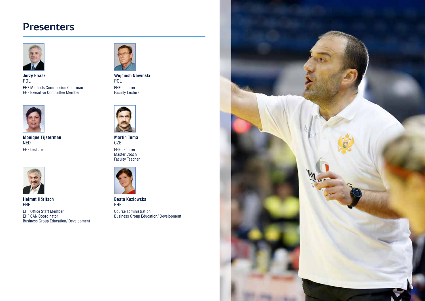## **Presenters**



EHF Methods Commission Chairman EHF Executive Committee Member **Jerzy Eliasz** POL



EHF Lecturer **Monique Tijsterman**  NED



**Helmut Höritsch**  EHF

EHF Office Staff Member EHF CAN Coordinator Business Group Education/ Development



EHF Lecturer Faculty Lecturer **Wojciech Nowinski**  POL<sup>1</sup>



EHF Lecturer **Master Coach** Faculty Teacher **Martin Tuma CZE** 



**Beata Kozlowska**  EHF

Course administration Business Group Education/ Development

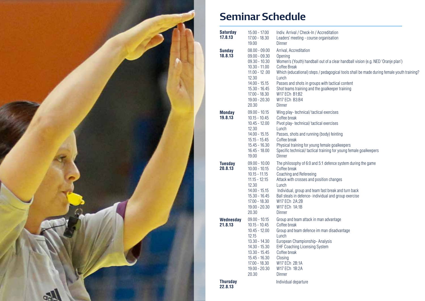

# **Seminar Schedule**

| <b>Saturday</b><br>17.8.13 | $15.00 - 17.00$<br>17.00 - 18.30<br>19.00                                                                                                                                               | Indiv. Arrival / Check-In / Accreditation<br>Leaders' meeting - course organisation<br>Dinner                                                                                                                                                                                                                                                                                                  |
|----------------------------|-----------------------------------------------------------------------------------------------------------------------------------------------------------------------------------------|------------------------------------------------------------------------------------------------------------------------------------------------------------------------------------------------------------------------------------------------------------------------------------------------------------------------------------------------------------------------------------------------|
| <b>Sunday</b><br>18.8.13   | $08.00 - 09.00$<br>$09.00 - 09.30$<br>$09.30 - 10.30$<br>$10.30 - 11.00$<br>$11.00 - 12.00$<br>12.30<br>$14.00 - 15.15$<br>$15.30 - 16.45$<br>17.00 - 18.30<br>$19.00 - 20.30$<br>20.30 | Arrival, Accreditation<br>Opening<br>Women's (Youth) handball out of a clear handball vision (e.g. NED 'Oranje plan')<br>Coffee Break<br>Which (educational) steps / pedagogical tools shall be made during female youth training?<br>Lunch<br>Passes and shots in groups with tactical content<br>Shot teams training and the goalkeeper training<br>W17 ECh B1:B2<br>W17 ECh B3:B4<br>Dinner |
| <b>Monday</b><br>19.8.13   | $09.00 - 10.15$<br>$10.15 - 10.45$<br>$10.45 - 12.00$<br>12.30<br>$14.00 - 15.15$<br>$15.15 - 15.45$<br>$15.45 - 16.30$<br>$16.45 - 18.00$<br>19.00                                     | Wing play- technical/tactical exercises<br>Coffee break<br>Pivot play-technical/tactical exercises<br>Lunch<br>Passes, shots and running (body) feinting<br>Coffee break<br>Physical training for young female goalkeepers<br>Specific technical/tactical training for young female goalkeepers<br><b>Dinner</b>                                                                               |
| <b>Tuesday</b><br>20.8.13  | $09.00 - 10.00$<br>$10.00 - 10.15$<br>$10.15 - 11.15$<br>$11.15 - 12:15$<br>12.30<br>$14.00 - 15.15$<br>$15.30 - 16.45$<br>17.00 - 18.30<br>$19.00 - 20.30$<br>20.30                    | The philosophy of 6:0 and 5:1 defence system during the game<br>Coffee break<br>Coaching and Refereeing<br>Attack with crosses and position changes<br>Lunch<br>Individual, group and team fast break and turn back<br>Ball steals in defence- individual and group exercise<br>W17 ECh 2A:2B<br>W17 ECh 1A:1B<br>Dinner                                                                       |
| Wednesday<br>21.8.13       | $09.00 - 10.15$<br>$10.15 - 10.45$<br>$10.45 - 12.00$<br>12.15<br>13.30 - 14.30<br>$14.30 - 15.30$<br>$13.30 - 15.45$<br>$15.45 - 16.30$<br>17.00 - 18.30<br>$19.00 - 20.30$<br>20.30   | Group and team attack in man advantage<br>Coffee break<br>Group and team defence im man disadvantage<br>Lunch<br>European Championship-Analysis<br><b>EHF Coaching Licensing System</b><br>Coffee break<br>Closing<br>W17 ECh 2B:1A<br>W17 ECh 1B:2A<br>Dinner                                                                                                                                 |
| <b>Thursday</b><br>22.8.13 |                                                                                                                                                                                         | Individual departure                                                                                                                                                                                                                                                                                                                                                                           |